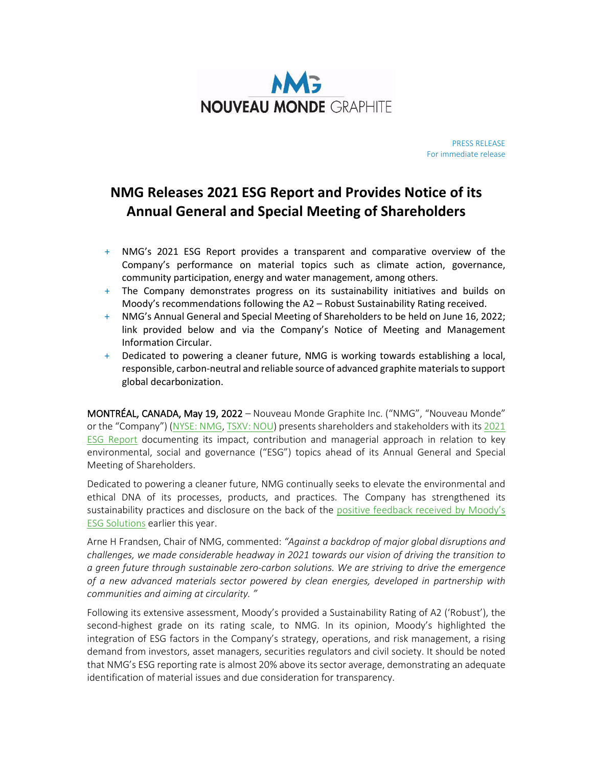

PRESS RELEASE For immediate release

# **NMG Releases 2021 ESG Report and Provides Notice of its Annual General and Special Meeting of Shareholders**

- + NMG's 2021 ESG Report provides a transparent and comparative overview of the Company's performance on material topics such as climate action, governance, community participation, energy and water management, among others.
- + The Company demonstrates progress on its sustainability initiatives and builds on Moody's recommendations following the A2 – Robust Sustainability Rating received.
- + NMG's Annual General and Special Meeting of Shareholders to be held on June 16, 2022; link provided below and via the Company's Notice of Meeting and Management Information Circular.
- + Dedicated to powering a cleaner future, NMG is working towards establishing a local, responsible, carbon-neutral and reliable source of advanced graphite materials to support global decarbonization.

MONTRÉAL, CANADA, May 19, 2022 – Nouveau Monde Graphite Inc. ("NMG", "Nouveau Monde" or the "Company") [\(NYSE: NMG,](https://www.nyse.com/quote/XNYS:NMG) [TSXV: NOU\)](https://money.tmx.com/fr/quote/NOU) presents shareholders and stakeholders with it[s 2021](https://nmg.com/wp-content/uploads/2022/05/NMG-2021-ESG-Report.pdf)  [ESG Report](https://nmg.com/wp-content/uploads/2022/05/NMG-2021-ESG-Report.pdf) documenting its impact, contribution and managerial approach in relation to key environmental, social and governance ("ESG") topics ahead of its Annual General and Special Meeting of Shareholders.

Dedicated to powering a cleaner future, NMG continually seeks to elevate the environmental and ethical DNA of its processes, products, and practices. The Company has strengthened its sustainability practices and disclosure on the back of the positive feedback received by Moody's [ESG Solutions](https://nmg.com/sustainability-rating-2022-goals/) earlier this year.

Arne H Frandsen, Chair of NMG, commented: *"Against a backdrop of major global disruptions and challenges, we made considerable headway in 2021 towards our vision of driving the transition to a green future through sustainable zero-carbon solutions. We are striving to drive the emergence of a new advanced materials sector powered by clean energies, developed in partnership with communities and aiming at circularity. "* 

Following its extensive assessment, Moody's provided a Sustainability Rating of A2 ('Robust'), the second-highest grade on its rating scale, to NMG. In its opinion, Moody's highlighted the integration of ESG factors in the Company's strategy, operations, and risk management, a rising demand from investors, asset managers, securities regulators and civil society. It should be noted that NMG's ESG reporting rate is almost 20% above its sector average, demonstrating an adequate identification of material issues and due consideration for transparency.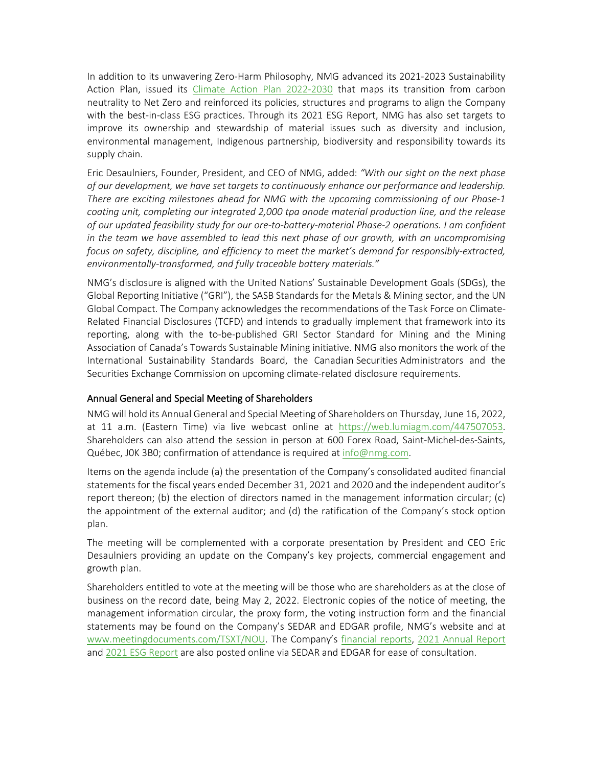In addition to its unwavering Zero-Harm Philosophy, NMG advanced its 2021-2023 Sustainability Action Plan, issued its [Climate Action Plan 2022-2030](https://nmg.com/climate-action-plan/) that maps its transition from carbon neutrality to Net Zero and reinforced its policies, structures and programs to align the Company with the best-in-class ESG practices. Through its 2021 ESG Report, NMG has also set targets to improve its ownership and stewardship of material issues such as diversity and inclusion, environmental management, Indigenous partnership, biodiversity and responsibility towards its supply chain.

Eric Desaulniers, Founder, President, and CEO of NMG, added: *"With our sight on the next phase of our development, we have set targets to continuously enhance our performance and leadership. There are exciting milestones ahead for NMG with the upcoming commissioning of our Phase-1 coating unit, completing our integrated 2,000 tpa anode material production line, and the release of our updated feasibility study for our ore-to-battery-material Phase-2 operations. I am confident in the team we have assembled to lead this next phase of our growth, with an uncompromising focus on safety, discipline, and efficiency to meet the market's demand for responsibly-extracted, environmentally-transformed, and fully traceable battery materials."* 

NMG's disclosure is aligned with the United Nations' Sustainable Development Goals (SDGs), the Global Reporting Initiative ("GRI"), the SASB Standards for the Metals & Mining sector, and the UN Global Compact. The Company acknowledges the recommendations of the Task Force on Climate-Related Financial Disclosures (TCFD) and intends to gradually implement that framework into its reporting, along with the to-be-published GRI Sector Standard for Mining and the Mining Association of Canada's Towards Sustainable Mining initiative. NMG also monitors the work of the International Sustainability Standards Board, the Canadian Securities Administrators and the Securities Exchange Commission on upcoming climate-related disclosure requirements.

# Annual General and Special Meeting of Shareholders

NMG will hold its Annual General and Special Meeting of Shareholders on Thursday, June 16, 2022, at 11 a.m. (Eastern Time) via live webcast online at [https://web.lumiagm.com/447507053.](https://web.lumiagm.com/447507053)  Shareholders can also attend the session in person at 600 Forex Road, Saint-Michel-des-Saints, Québec, JOK 3B0; confirmation of attendance is required a[t info@nmg.com.](mailto:info@nmg.com)

Items on the agenda include (a) the presentation of the Company's consolidated audited financial statements for the fiscal years ended December 31, 2021 and 2020 and the independent auditor's report thereon; (b) the election of directors named in the management information circular; (c) the appointment of the external auditor; and (d) the ratification of the Company's stock option plan.

The meeting will be complemented with a corporate presentation by President and CEO Eric Desaulniers providing an update on the Company's key projects, commercial engagement and growth plan.

Shareholders entitled to vote at the meeting will be those who are shareholders as at the close of business on the record date, being May 2, 2022. Electronic copies of the notice of meeting, the management information circular, the proxy form, the voting instruction form and the financial statements may be found on the Company's SEDAR and EDGAR profile, NMG's website and at [www.meetingdocuments.com/TSXT/NOU.](http://www.meetingdocuments.com/TSXT/NOU) The Company's [financial reports,](https://nmg.com/financial-reports/) [2021 Annual Report](https://nmg.com/wp-content/uploads/2022/03/NMG-2021-Annual-Report.pdf) and [2021 ESG Report](https://nmg.com/wp-content/uploads/2022/05/NMG-2021-ESG-Report.pdf) are also posted online via SEDAR and EDGAR for ease of consultation.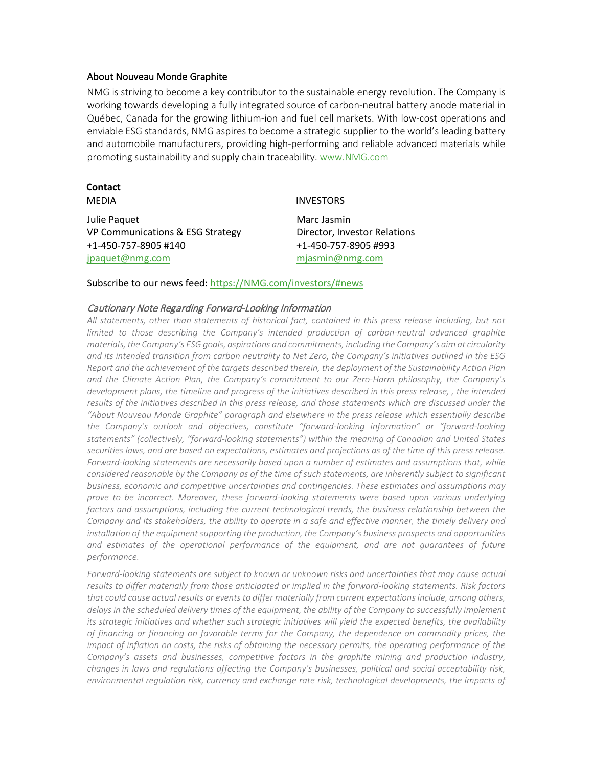## About Nouveau Monde Graphite

NMG is striving to become a key contributor to the sustainable energy revolution. The Company is working towards developing a fully integrated source of carbon-neutral battery anode material in Québec, Canada for the growing lithium-ion and fuel cell markets. With low-cost operations and enviable ESG standards, NMG aspires to become a strategic supplier to the world's leading battery and automobile manufacturers, providing high-performing and reliable advanced materials while promoting sustainability and supply chain traceability. [www.NMG.com](http://www.nmg.com/) 

| <b>Contact</b>                   |                              |
|----------------------------------|------------------------------|
| <b>MEDIA</b>                     | <b>INVESTORS</b>             |
| Julie Paquet                     | Marc Jasmin                  |
| VP Communications & ESG Strategy | Director, Investor Relations |
| +1-450-757-8905 #140             | +1-450-757-8905 #993         |
| jpaquet@nmg.com                  | mjasmin@nmg.com              |

#### Subscribe to our news feed: [https://NMG.com/investors/#news](https://nmg.com/investors/#news)

#### Cautionary Note Regarding Forward-Looking Information

*All statements, other than statements of historical fact, contained in this press release including, but not limited to those describing the Company's intended production of carbon-neutral advanced graphite materials, the Company's ESG goals, aspirations and commitments, including the Company's aim at circularity and its intended transition from carbon neutrality to Net Zero, the Company's initiatives outlined in the ESG Report and the achievement of the targets described therein, the deployment of the Sustainability Action Plan and the Climate Action Plan, the Company's commitment to our Zero-Harm philosophy, the Company's development plans, the timeline and progress of the initiatives described in this press release, , the intended*  results of the initiatives described in this press release, and those statements which are discussed under the *"About Nouveau Monde Graphite" paragraph and elsewhere in the press release which essentially describe the Company's outlook and objectives, constitute "forward-looking information" or "forward-looking statements" (collectively, "forward-looking statements") within the meaning of Canadian and United States securities laws, and are based on expectations, estimates and projections as of the time of this press release.*  Forward-looking statements are necessarily based upon a number of estimates and assumptions that, while *considered reasonable by the Company as of the time of such statements, are inherently subject to significant business, economic and competitive uncertainties and contingencies. These estimates and assumptions may prove to be incorrect. Moreover, these forward-looking statements were based upon various underlying*  factors and assumptions, including the current technological trends, the business relationship between the *Company and its stakeholders, the ability to operate in a safe and effective manner, the timely delivery and installation of the equipment supporting the production, the Company's business prospects and opportunities and estimates of the operational performance of the equipment, and are not guarantees of future performance.* 

*Forward-looking statements are subject to known or unknown risks and uncertainties that may cause actual*  results to differ materially from those anticipated or implied in the forward-looking statements. Risk factors *that could cause actual results or events to differ materially from current expectations include, among others, delays in the scheduled delivery times of the equipment, the ability of the Company to successfully implement*  its strategic initiatives and whether such strategic initiatives will yield the expected benefits, the availability *of financing or financing on favorable terms for the Company, the dependence on commodity prices, the impact of inflation on costs, the risks of obtaining the necessary permits, the operating performance of the Company's assets and businesses, competitive factors in the graphite mining and production industry, changes in laws and regulations affecting the Company's businesses, political and social acceptability risk, environmental regulation risk, currency and exchange rate risk, technological developments, the impacts of*